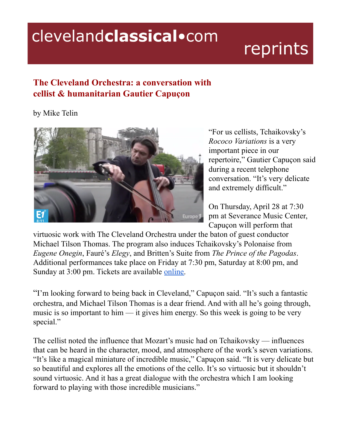## clevelandclassical.com

## reprints

## **The Cleveland Orchestra: a conversation with cellist & humanitarian Gautier Capuçon**

## by Mike Telin



"For us cellists, Tchaikovsky's *Rococo Variations* is a very important piece in our repertoire," Gautier Capuçon said during a recent telephone conversation. "It's very delicate and extremely difficult."

On Thursday, April 28 at 7:30 pm at Severance Music Center, Capuçon will perform that

virtuosic work with The Cleveland Orchestra under the baton of guest conductor Michael Tilson Thomas. The program also induces Tchaikovsky's Polonaise from *Eugene Onegin*, Fauré's *Elegy*, and Britten's Suite from *The Prince of the Pagodas*. Additional performances take place on Friday at 7:30 pm, Saturday at 8:00 pm, and Sunday at 3:00 pm. Tickets are available [online.](http://www.clevelandorchestra.com)

"I'm looking forward to being back in Cleveland," Capuçon said. "It's such a fantastic orchestra, and Michael Tilson Thomas is a dear friend. And with all he's going through, music is so important to him — it gives him energy. So this week is going to be very special."

The cellist noted the influence that Mozart's music had on Tchaikovsky — influences that can be heard in the character, mood, and atmosphere of the work's seven variations. "It's like a magical miniature of incredible music," Capuçon said. "It is very delicate but so beautiful and explores all the emotions of the cello. It's so virtuosic but it shouldn't sound virtuosic. And it has a great dialogue with the orchestra which I am looking forward to playing with those incredible musicians."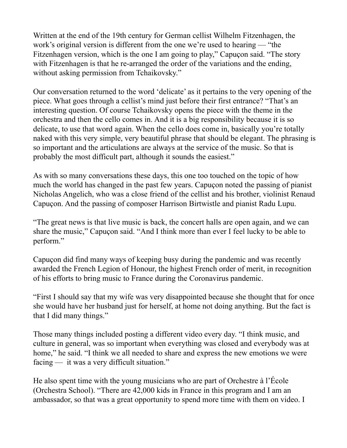Written at the end of the 19th century for German cellist Wilhelm Fitzenhagen, the work's original version is different from the one we're used to hearing — "the Fitzenhagen version, which is the one I am going to play," Capuçon said. "The story with Fitzenhagen is that he re-arranged the order of the variations and the ending, without asking permission from Tchaikovsky."

Our conversation returned to the word 'delicate' as it pertains to the very opening of the piece. What goes through a cellist's mind just before their first entrance? "That's an interesting question. Of course Tchaikovsky opens the piece with the theme in the orchestra and then the cello comes in. And it is a big responsibility because it is so delicate, to use that word again. When the cello does come in, basically you're totally naked with this very simple, very beautiful phrase that should be elegant. The phrasing is so important and the articulations are always at the service of the music. So that is probably the most difficult part, although it sounds the easiest."

As with so many conversations these days, this one too touched on the topic of how much the world has changed in the past few years. Capuçon noted the passing of pianist Nicholas Angelich, who was a close friend of the cellist and his brother, violinist Renaud Capuçon. And the passing of composer Harrison Birtwistle and pianist Radu Lupu.

"The great news is that live music is back, the concert halls are open again, and we can share the music," Capuçon said. "And I think more than ever I feel lucky to be able to perform."

Capuçon did find many ways of keeping busy during the pandemic and was recently awarded the French Legion of Honour, the highest French order of merit, in recognition of his efforts to bring music to France during the Coronavirus pandemic.

"First I should say that my wife was very disappointed because she thought that for once she would have her husband just for herself, at home not doing anything. But the fact is that I did many things."

Those many things included posting a different video every day. "I think music, and culture in general, was so important when everything was closed and everybody was at home," he said. "I think we all needed to share and express the new emotions we were facing — it was a very difficult situation."

He also spent time with the young musicians who are part of Orchestre à l'École (Orchestra School). "There are 42,000 kids in France in this program and I am an ambassador, so that was a great opportunity to spend more time with them on video. I